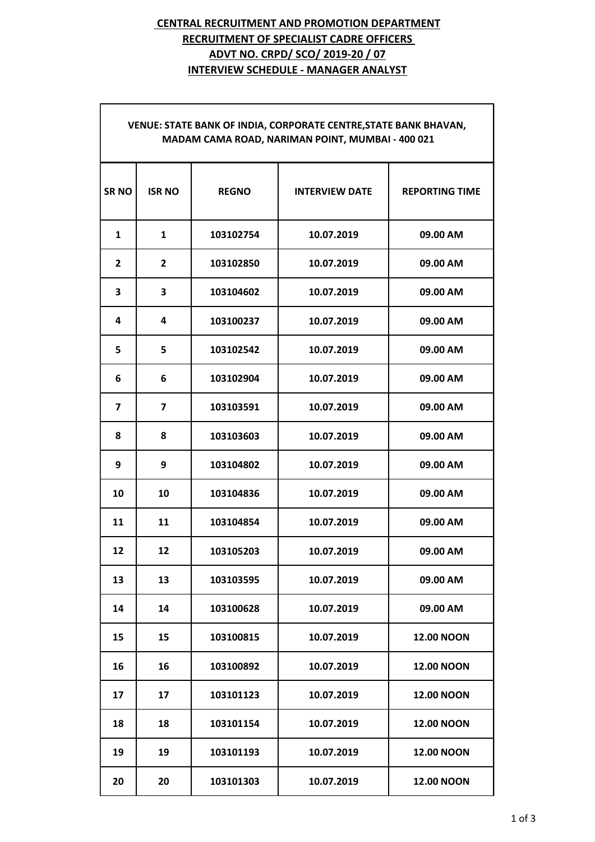# **CENTRAL RECRUITMENT AND PROMOTION DEPARTMENT RECRUITMENT OF SPECIALIST CADRE OFFICERS ADVT NO. CRPD/ SCO/ 2019-20 / 07 INTERVIEW SCHEDULE - MANAGER ANALYST**

| <b>SRNO</b>             | <b>ISR NO</b>           | <b>REGNO</b> | <b>INTERVIEW DATE</b> | <b>REPORTING TIME</b> |
|-------------------------|-------------------------|--------------|-----------------------|-----------------------|
| 1                       | $\mathbf{1}$            | 103102754    | 10.07.2019            | 09.00 AM              |
| $\overline{2}$          | $\overline{2}$          | 103102850    | 10.07.2019            | 09.00 AM              |
| 3                       | 3                       | 103104602    | 10.07.2019            | 09.00 AM              |
| 4                       | 4                       | 103100237    | 10.07.2019            | 09.00 AM              |
| 5                       | 5                       | 103102542    | 10.07.2019            | 09.00 AM              |
| 6                       | 6                       | 103102904    | 10.07.2019            | 09.00 AM              |
| $\overline{\mathbf{z}}$ | $\overline{\mathbf{z}}$ | 103103591    | 10.07.2019            | 09.00 AM              |
| 8                       | 8                       | 103103603    | 10.07.2019            | 09.00 AM              |
| 9                       | 9                       | 103104802    | 10.07.2019            | 09.00 AM              |
| 10                      | 10                      | 103104836    | 10.07.2019            | 09.00 AM              |
| 11                      | 11                      | 103104854    | 10.07.2019            | 09.00 AM              |
| 12                      | 12                      | 103105203    | 10.07.2019            | 09.00 AM              |
| 13                      | 13                      | 103103595    | 10.07.2019            | 09.00 AM              |
| 14                      | 14                      | 103100628    | 10.07.2019            | 09.00 AM              |
| 15                      | 15                      | 103100815    | 10.07.2019            | <b>12.00 NOON</b>     |
| 16                      | 16                      | 103100892    | 10.07.2019            | <b>12.00 NOON</b>     |
| 17                      | 17                      | 103101123    | 10.07.2019            | <b>12.00 NOON</b>     |
| 18                      | 18                      | 103101154    | 10.07.2019            | <b>12.00 NOON</b>     |
| 19                      | 19                      | 103101193    | 10.07.2019            | <b>12.00 NOON</b>     |
| 20                      | 20                      | 103101303    | 10.07.2019            | <b>12.00 NOON</b>     |

### **VENUE: STATE BANK OF INDIA, CORPORATE CENTRE,STATE BANK BHAVAN, MADAM CAMA ROAD, NARIMAN POINT, MUMBAI - 400 021**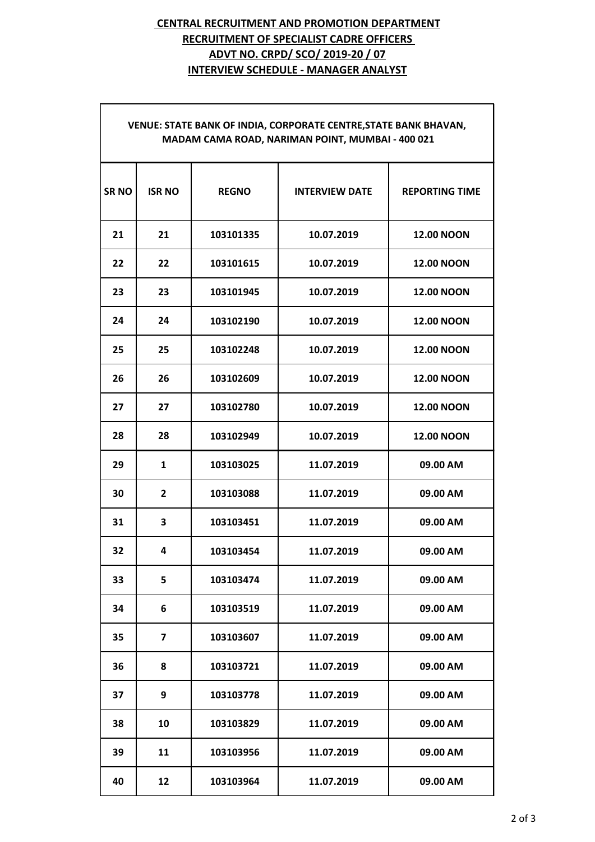# **CENTRAL RECRUITMENT AND PROMOTION DEPARTMENT RECRUITMENT OF SPECIALIST CADRE OFFICERS ADVT NO. CRPD/ SCO/ 2019-20 / 07 INTERVIEW SCHEDULE - MANAGER ANALYST**

### **VENUE: STATE BANK OF INDIA, CORPORATE CENTRE,STATE BANK BHAVAN, MADAM CAMA ROAD, NARIMAN POINT, MUMBAI - 400 021**

| <b>SRNO</b> | <b>ISR NO</b>           | <b>REGNO</b> | <b>INTERVIEW DATE</b> | <b>REPORTING TIME</b> |
|-------------|-------------------------|--------------|-----------------------|-----------------------|
| 21          | 21                      | 103101335    | 10.07.2019            | <b>12.00 NOON</b>     |
| 22          | 22                      | 103101615    | 10.07.2019            | <b>12.00 NOON</b>     |
| 23          | 23                      | 103101945    | 10.07.2019            | <b>12.00 NOON</b>     |
| 24          | 24                      | 103102190    | 10.07.2019            | <b>12.00 NOON</b>     |
| 25          | 25                      | 103102248    | 10.07.2019            | <b>12.00 NOON</b>     |
| 26          | 26                      | 103102609    | 10.07.2019            | <b>12.00 NOON</b>     |
| 27          | 27                      | 103102780    | 10.07.2019            | <b>12.00 NOON</b>     |
| 28          | 28                      | 103102949    | 10.07.2019            | <b>12.00 NOON</b>     |
| 29          | $\mathbf{1}$            | 103103025    | 11.07.2019            | 09.00 AM              |
| 30          | $\overline{2}$          | 103103088    | 11.07.2019            | 09.00 AM              |
| 31          | $\overline{\mathbf{3}}$ | 103103451    | 11.07.2019            | 09.00 AM              |
| 32          | 4                       | 103103454    | 11.07.2019            | 09.00 AM              |
| 33          | 5                       | 103103474    | 11.07.2019            | 09.00 AM              |
| 34          | 6                       | 103103519    | 11.07.2019            | 09.00 AM              |
| 35          | 7                       | 103103607    | 11.07.2019            | 09.00 AM              |
| 36          | 8                       | 103103721    | 11.07.2019            | 09.00 AM              |
| 37          | 9                       | 103103778    | 11.07.2019            | 09.00 AM              |
| 38          | 10                      | 103103829    | 11.07.2019            | 09.00 AM              |
| 39          | 11                      | 103103956    | 11.07.2019            | 09.00 AM              |
| 40          | 12                      | 103103964    | 11.07.2019            | 09.00 AM              |
|             |                         |              |                       |                       |